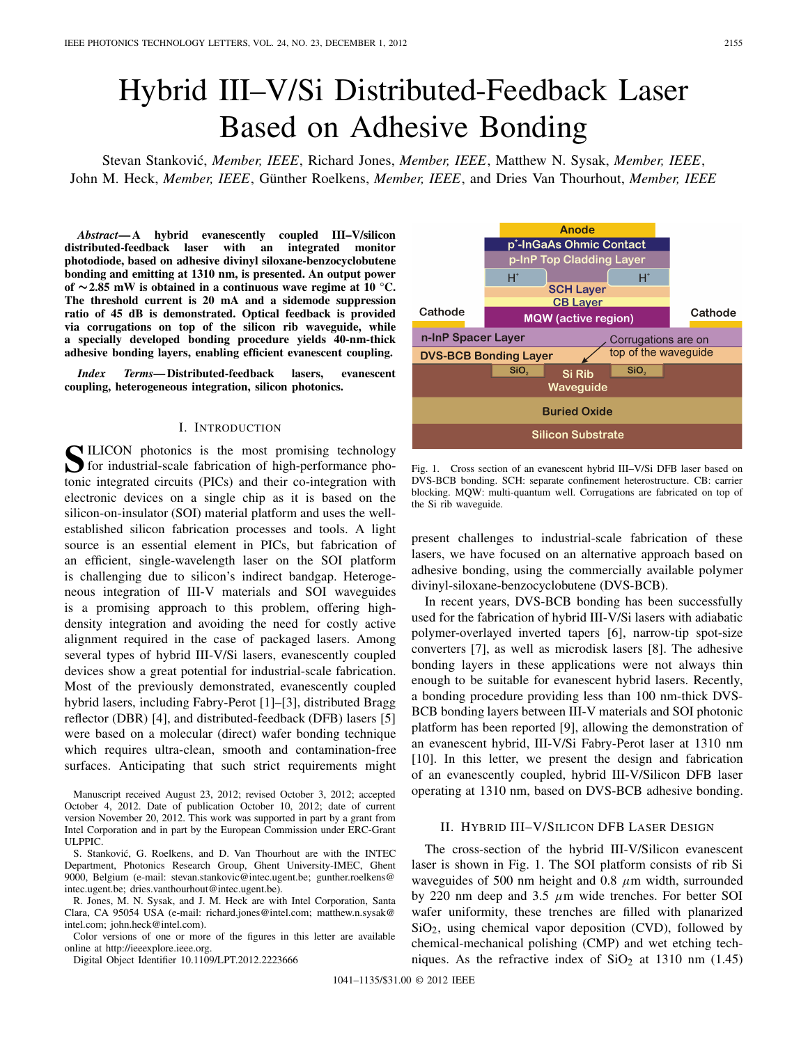# Hybrid III–V/Si Distributed-Feedback Laser Based on Adhesive Bonding

Stevan Stankovi´c, *Member, IEEE*, Richard Jones, *Member, IEEE*, Matthew N. Sysak, *Member, IEEE*, John M. Heck, *Member, IEEE*, Günther Roelkens, *Member, IEEE*, and Dries Van Thourhout, *Member, IEEE*

*Abstract***— A hybrid evanescently coupled III–V/silicon distributed-feedback laser with an integrated monitor photodiode, based on adhesive divinyl siloxane-benzocyclobutene bonding and emitting at 1310 nm, is presented. An output power of ∼2.85 mW is obtained in a continuous wave regime at 10 °C. The threshold current is 20 mA and a sidemode suppression ratio of 45 dB is demonstrated. Optical feedback is provided via corrugations on top of the silicon rib waveguide, while a specially developed bonding procedure yields 40-nm-thick adhesive bonding layers, enabling efficient evanescent coupling.**

*Index Terms***— Distributed-feedback lasers, evanescent coupling, heterogeneous integration, silicon photonics.**

## I. INTRODUCTION

**S**ILICON photonics is the most promising technology<br>for industrial-scale fabrication of high-performance photonic integrated circuits (PICs) and their co-integration with electronic devices on a single chip as it is based on the silicon-on-insulator (SOI) material platform and uses the wellestablished silicon fabrication processes and tools. A light source is an essential element in PICs, but fabrication of an efficient, single-wavelength laser on the SOI platform is challenging due to silicon's indirect bandgap. Heterogeneous integration of III-V materials and SOI waveguides is a promising approach to this problem, offering highdensity integration and avoiding the need for costly active alignment required in the case of packaged lasers. Among several types of hybrid III-V/Si lasers, evanescently coupled devices show a great potential for industrial-scale fabrication. Most of the previously demonstrated, evanescently coupled hybrid lasers, including Fabry-Perot [1]–[3], distributed Bragg reflector (DBR) [4], and distributed-feedback (DFB) lasers [5] were based on a molecular (direct) wafer bonding technique which requires ultra-clean, smooth and contamination-free surfaces. Anticipating that such strict requirements might

Manuscript received August 23, 2012; revised October 3, 2012; accepted October 4, 2012. Date of publication October 10, 2012; date of current version November 20, 2012. This work was supported in part by a grant from Intel Corporation and in part by the European Commission under ERC-Grant ULPPIC.

S. Stanković, G. Roelkens, and D. Van Thourhout are with the INTEC Department, Photonics Research Group, Ghent University-IMEC, Ghent 9000, Belgium (e-mail: stevan.stankovic@intec.ugent.be; gunther.roelkens@ intec.ugent.be; dries.vanthourhout@intec.ugent.be).

R. Jones, M. N. Sysak, and J. M. Heck are with Intel Corporation, Santa Clara, CA 95054 USA (e-mail: richard.jones@intel.com; matthew.n.sysak@ intel.com; john.heck@intel.com).

Color versions of one or more of the figures in this letter are available online at http://ieeexplore.ieee.org.

Digital Object Identifier 10.1109/LPT.2012.2223666



Fig. 1. Cross section of an evanescent hybrid III–V/Si DFB laser based on DVS-BCB bonding. SCH: separate confinement heterostructure. CB: carrier blocking. MQW: multi-quantum well. Corrugations are fabricated on top of the Si rib waveguide.

present challenges to industrial-scale fabrication of these lasers, we have focused on an alternative approach based on adhesive bonding, using the commercially available polymer divinyl-siloxane-benzocyclobutene (DVS-BCB).

In recent years, DVS-BCB bonding has been successfully used for the fabrication of hybrid III-V/Si lasers with adiabatic polymer-overlayed inverted tapers [6], narrow-tip spot-size converters [7], as well as microdisk lasers [8]. The adhesive bonding layers in these applications were not always thin enough to be suitable for evanescent hybrid lasers. Recently, a bonding procedure providing less than 100 nm-thick DVS-BCB bonding layers between III-V materials and SOI photonic platform has been reported [9], allowing the demonstration of an evanescent hybrid, III-V/Si Fabry-Perot laser at 1310 nm [10]. In this letter, we present the design and fabrication of an evanescently coupled, hybrid III-V/Silicon DFB laser operating at 1310 nm, based on DVS-BCB adhesive bonding.

## II. HYBRID III–V/SILICON DFB LASER DESIGN

The cross-section of the hybrid III-V/Silicon evanescent laser is shown in Fig. 1. The SOI platform consists of rib Si waveguides of 500 nm height and 0.8  $\mu$ m width, surrounded by 220 nm deep and 3.5  $\mu$ m wide trenches. For better SOI wafer uniformity, these trenches are filled with planarized SiO2, using chemical vapor deposition (CVD), followed by chemical-mechanical polishing (CMP) and wet etching techniques. As the refractive index of  $SiO<sub>2</sub>$  at 1310 nm (1.45)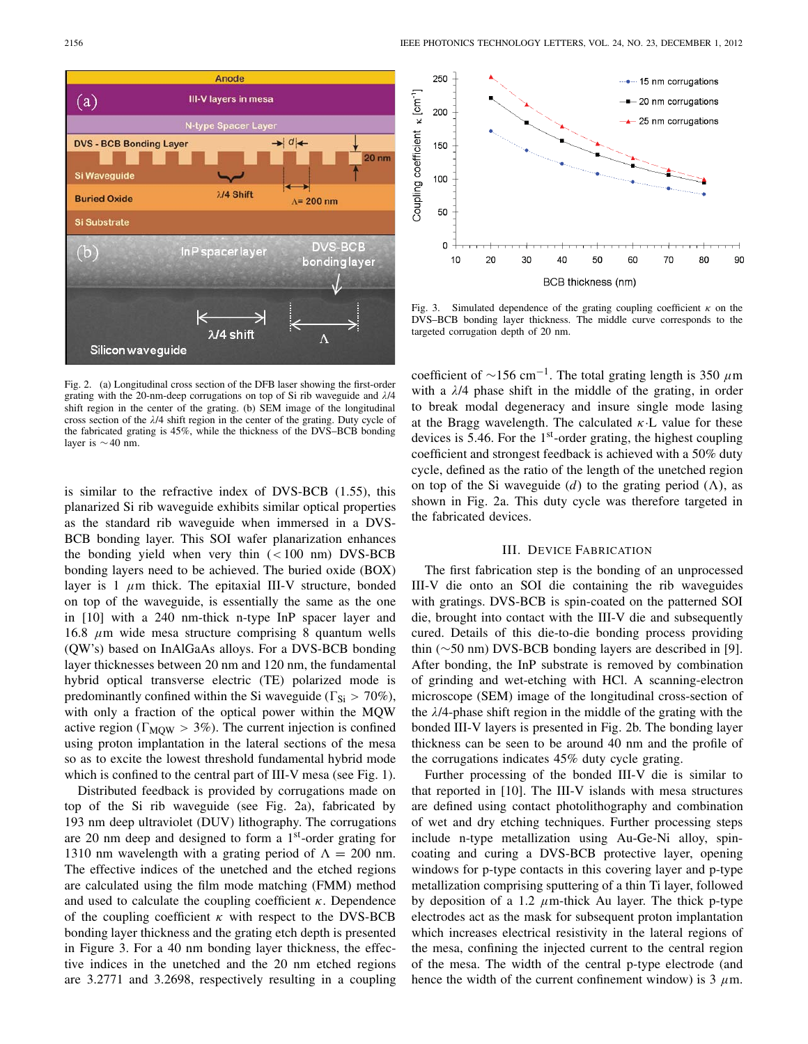

Fig. 2. (a) Longitudinal cross section of the DFB laser showing the first-order grating with the 20-nm-deep corrugations on top of Si rib waveguide and λ/4 shift region in the center of the grating. (b) SEM image of the longitudinal cross section of the  $\lambda$ /4 shift region in the center of the grating. Duty cycle of the fabricated grating is 45%, while the thickness of the DVS–BCB bonding layer is ∼40 nm.

is similar to the refractive index of DVS-BCB (1.55), this planarized Si rib waveguide exhibits similar optical properties as the standard rib waveguide when immersed in a DVS-BCB bonding layer. This SOI wafer planarization enhances the bonding yield when very thin  $(< 100 \text{ nm})$  DVS-BCB bonding layers need to be achieved. The buried oxide (BOX) layer is 1  $\mu$ m thick. The epitaxial III-V structure, bonded on top of the waveguide, is essentially the same as the one in [10] with a 240 nm-thick n-type InP spacer layer and 16.8  $\mu$ m wide mesa structure comprising 8 quantum wells (QW's) based on InAlGaAs alloys. For a DVS-BCB bonding layer thicknesses between 20 nm and 120 nm, the fundamental hybrid optical transverse electric (TE) polarized mode is predominantly confined within the Si waveguide ( $\Gamma_{Si} > 70\%$ ), with only a fraction of the optical power within the MQW active region ( $\Gamma_{\text{MOW}} > 3\%$ ). The current injection is confined using proton implantation in the lateral sections of the mesa so as to excite the lowest threshold fundamental hybrid mode which is confined to the central part of III-V mesa (see Fig. 1).

Distributed feedback is provided by corrugations made on top of the Si rib waveguide (see Fig. 2a), fabricated by 193 nm deep ultraviolet (DUV) lithography. The corrugations are 20 nm deep and designed to form a  $1<sup>st</sup>$ -order grating for 1310 nm wavelength with a grating period of  $\Lambda = 200$  nm. The effective indices of the unetched and the etched regions are calculated using the film mode matching (FMM) method and used to calculate the coupling coefficient  $\kappa$ . Dependence of the coupling coefficient  $\kappa$  with respect to the DVS-BCB bonding layer thickness and the grating etch depth is presented in Figure 3. For a 40 nm bonding layer thickness, the effective indices in the unetched and the 20 nm etched regions are 3.2771 and 3.2698, respectively resulting in a coupling



Fig. 3. Simulated dependence of the grating coupling coefficient  $\kappa$  on the DVS–BCB bonding layer thickness. The middle curve corresponds to the targeted corrugation depth of 20 nm.

coefficient of  $\sim$ 156 cm<sup>-1</sup>. The total grating length is 350 µm with a  $\lambda$ /4 phase shift in the middle of the grating, in order to break modal degeneracy and insure single mode lasing at the Bragg wavelength. The calculated  $\kappa$ . L value for these devices is 5.46. For the 1st-order grating, the highest coupling coefficient and strongest feedback is achieved with a 50% duty cycle, defined as the ratio of the length of the unetched region on top of the Si waveguide (*d*) to the grating period ( $\Lambda$ ), as shown in Fig. 2a. This duty cycle was therefore targeted in the fabricated devices.

## III. DEVICE FABRICATION

The first fabrication step is the bonding of an unprocessed III-V die onto an SOI die containing the rib waveguides with gratings. DVS-BCB is spin-coated on the patterned SOI die, brought into contact with the III-V die and subsequently cured. Details of this die-to-die bonding process providing thin (∼50 nm) DVS-BCB bonding layers are described in [9]. After bonding, the InP substrate is removed by combination of grinding and wet-etching with HCl. A scanning-electron microscope (SEM) image of the longitudinal cross-section of the λ/4-phase shift region in the middle of the grating with the bonded III-V layers is presented in Fig. 2b. The bonding layer thickness can be seen to be around 40 nm and the profile of the corrugations indicates 45% duty cycle grating.

Further processing of the bonded III-V die is similar to that reported in [10]. The III-V islands with mesa structures are defined using contact photolithography and combination of wet and dry etching techniques. Further processing steps include n-type metallization using Au-Ge-Ni alloy, spincoating and curing a DVS-BCB protective layer, opening windows for p-type contacts in this covering layer and p-type metallization comprising sputtering of a thin Ti layer, followed by deposition of a 1.2  $\mu$ m-thick Au layer. The thick p-type electrodes act as the mask for subsequent proton implantation which increases electrical resistivity in the lateral regions of the mesa, confining the injected current to the central region of the mesa. The width of the central p-type electrode (and hence the width of the current confinement window) is  $3 \mu$ m.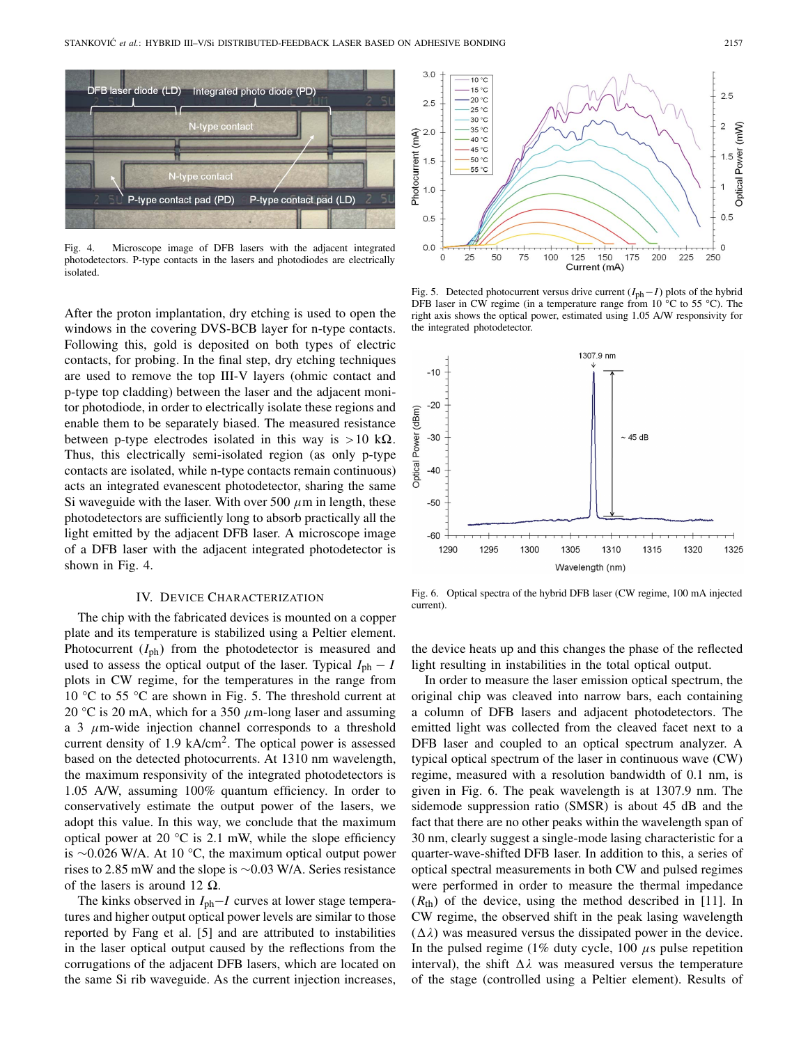

Fig. 4. Microscope image of DFB lasers with the adjacent integrated photodetectors. P-type contacts in the lasers and photodiodes are electrically isolated.

After the proton implantation, dry etching is used to open the windows in the covering DVS-BCB layer for n-type contacts. Following this, gold is deposited on both types of electric contacts, for probing. In the final step, dry etching techniques are used to remove the top III-V layers (ohmic contact and p-type top cladding) between the laser and the adjacent monitor photodiode, in order to electrically isolate these regions and enable them to be separately biased. The measured resistance between p-type electrodes isolated in this way is  $>10 \text{ k}\Omega$ . Thus, this electrically semi-isolated region (as only p-type contacts are isolated, while n-type contacts remain continuous) acts an integrated evanescent photodetector, sharing the same Si waveguide with the laser. With over 500  $\mu$ m in length, these photodetectors are sufficiently long to absorb practically all the light emitted by the adjacent DFB laser. A microscope image of a DFB laser with the adjacent integrated photodetector is shown in Fig. 4.

#### IV. DEVICE CHARACTERIZATION

The chip with the fabricated devices is mounted on a copper plate and its temperature is stabilized using a Peltier element. Photocurrent (*I*ph) from the photodetector is measured and used to assess the optical output of the laser. Typical  $I_{ph} - I$ plots in CW regime, for the temperatures in the range from 10 °C to 55 °C are shown in Fig. 5. The threshold current at 20 °C is 20 mA, which for a 350  $\mu$ m-long laser and assuming a 3  $\mu$ m-wide injection channel corresponds to a threshold current density of 1.9 kA/cm<sup>2</sup>. The optical power is assessed based on the detected photocurrents. At 1310 nm wavelength, the maximum responsivity of the integrated photodetectors is 1.05 A/W, assuming 100% quantum efficiency. In order to conservatively estimate the output power of the lasers, we adopt this value. In this way, we conclude that the maximum optical power at 20  $\degree$ C is 2.1 mW, while the slope efficiency is ∼0.026 W/A. At 10 °C, the maximum optical output power rises to 2.85 mW and the slope is ∼0.03 W/A. Series resistance of the lasers is around 12  $\Omega$ .

The kinks observed in *I*ph−*I* curves at lower stage temperatures and higher output optical power levels are similar to those reported by Fang et al. [5] and are attributed to instabilities in the laser optical output caused by the reflections from the corrugations of the adjacent DFB lasers, which are located on the same Si rib waveguide. As the current injection increases,



Fig. 5. Detected photocurrent versus drive current (*I*ph−*I*) plots of the hybrid DFB laser in CW regime (in a temperature range from 10 °C to 55 °C). The right axis shows the optical power, estimated using 1.05 A/W responsivity for the integrated photodetector.



Fig. 6. Optical spectra of the hybrid DFB laser (CW regime, 100 mA injected current).

the device heats up and this changes the phase of the reflected light resulting in instabilities in the total optical output.

In order to measure the laser emission optical spectrum, the original chip was cleaved into narrow bars, each containing a column of DFB lasers and adjacent photodetectors. The emitted light was collected from the cleaved facet next to a DFB laser and coupled to an optical spectrum analyzer. A typical optical spectrum of the laser in continuous wave (CW) regime, measured with a resolution bandwidth of 0.1 nm, is given in Fig. 6. The peak wavelength is at 1307.9 nm. The sidemode suppression ratio (SMSR) is about 45 dB and the fact that there are no other peaks within the wavelength span of 30 nm, clearly suggest a single-mode lasing characteristic for a quarter-wave-shifted DFB laser. In addition to this, a series of optical spectral measurements in both CW and pulsed regimes were performed in order to measure the thermal impedance  $(R<sub>th</sub>)$  of the device, using the method described in [11]. In CW regime, the observed shift in the peak lasing wavelength  $(\Delta \lambda)$  was measured versus the dissipated power in the device. In the pulsed regime (1% duty cycle, 100  $\mu$ s pulse repetition interval), the shift  $\Delta \lambda$  was measured versus the temperature of the stage (controlled using a Peltier element). Results of